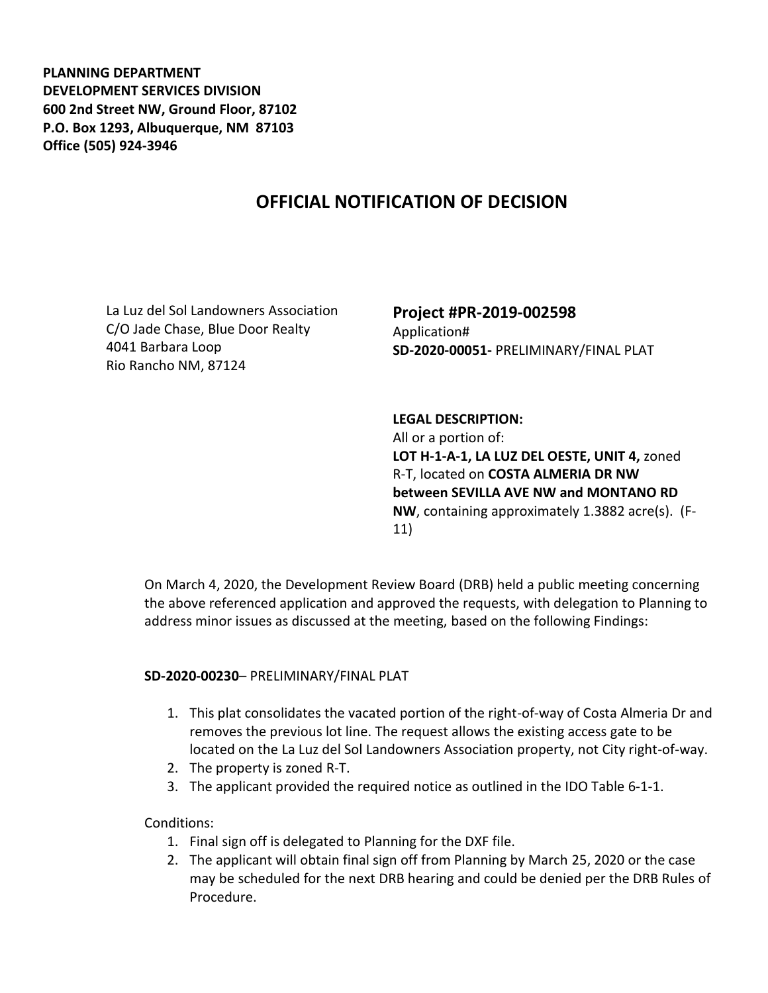**PLANNING DEPARTMENT DEVELOPMENT SERVICES DIVISION 600 2nd Street NW, Ground Floor, 87102 P.O. Box 1293, Albuquerque, NM 87103 Office (505) 924-3946** 

## **OFFICIAL NOTIFICATION OF DECISION**

La Luz del Sol Landowners Association C/O Jade Chase, Blue Door Realty 4041 Barbara Loop Rio Rancho NM, 87124

## **Project #PR-2019-002598** Application# **SD-2020-00051-** PRELIMINARY/FINAL PLAT

**LEGAL DESCRIPTION:** All or a portion of: **LOT H-1-A-1, LA LUZ DEL OESTE, UNIT 4,** zoned R-T, located on **COSTA ALMERIA DR NW between SEVILLA AVE NW and MONTANO RD NW**, containing approximately 1.3882 acre(s). (F-11)

On March 4, 2020, the Development Review Board (DRB) held a public meeting concerning the above referenced application and approved the requests, with delegation to Planning to address minor issues as discussed at the meeting, based on the following Findings:

## **SD-2020-00230**– PRELIMINARY/FINAL PLAT

- 1. This plat consolidates the vacated portion of the right-of-way of Costa Almeria Dr and removes the previous lot line. The request allows the existing access gate to be located on the La Luz del Sol Landowners Association property, not City right-of-way.
- 2. The property is zoned R-T.
- 3. The applicant provided the required notice as outlined in the IDO Table 6-1-1.

## Conditions:

- 1. Final sign off is delegated to Planning for the DXF file.
- 2. The applicant will obtain final sign off from Planning by March 25, 2020 or the case may be scheduled for the next DRB hearing and could be denied per the DRB Rules of Procedure.